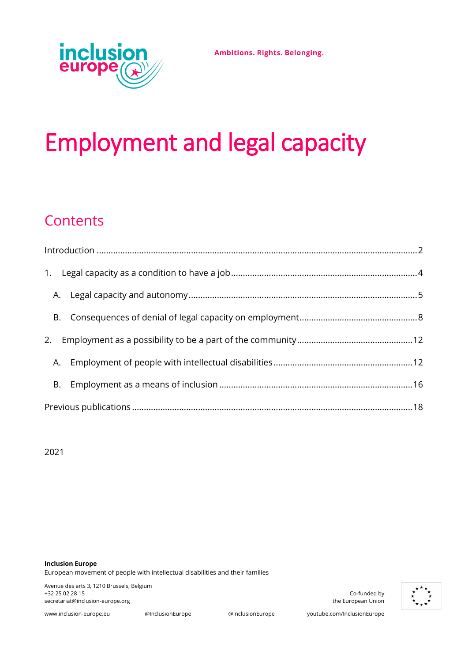**Ambitions. Rights. Belonging.**



# Employment and legal capacity

# **Contents**

2021

**Inclusion Europe** European movement of people with intellectual disabilities and their families

Avenue des arts 3, 1210 Brussels, Belgium +32 25 02 28 15 Co-funded by [secretariat@inclusion-europe.org](mailto:secretariat@inclusion-europe.org) the European Union control of the European Union

[www.inclusion-europe.eu](http://www.inclusion-europe.eu/) @InclusionEurope @InclusionEurope youtube.com/InclusionEurope

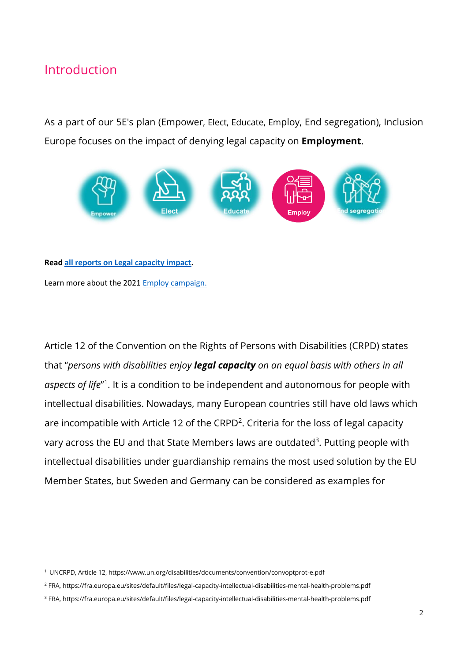## <span id="page-1-0"></span>Introduction

As a part of our 5E's plan (Empower, Elect, Educate, Employ, End segregation), Inclusion Europe focuses on the impact of denying legal capacity on **Employment**.



#### **Read [all reports on Legal capacity impact.](https://www.inclusion-europe.eu/legal-capacity-impact-on-life-reports-employment-education/)**

Learn more about the 202[1 Employ campaign.](https://www.inclusion-europe.eu/employ-campaign-2021/)

Article 12 of the Convention on the Rights of Persons with Disabilities (CRPD) states that "*persons with disabilities enjoy legal capacity on an equal basis with others in all*  aspects of life<sup>"1</sup>. It is a condition to be independent and autonomous for people with intellectual disabilities. Nowadays, many European countries still have old laws which are incompatible with Article 12 of the  $CRPD<sup>2</sup>$ . Criteria for the loss of legal capacity vary across the EU and that State Members laws are outdated<sup>3</sup>. Putting people with intellectual disabilities under guardianship remains the most used solution by the EU Member States, but Sweden and Germany can be considered as examples for

<sup>1</sup> UNCRPD, Article 12[, https://www.un.org/disabilities/documents/convention/convoptprot-e.pdf](https://www.un.org/disabilities/documents/convention/convoptprot-e.pdf)

<sup>2</sup> FRA,<https://fra.europa.eu/sites/default/files/legal-capacity-intellectual-disabilities-mental-health-problems.pdf>

<sup>3</sup> FRA,<https://fra.europa.eu/sites/default/files/legal-capacity-intellectual-disabilities-mental-health-problems.pdf>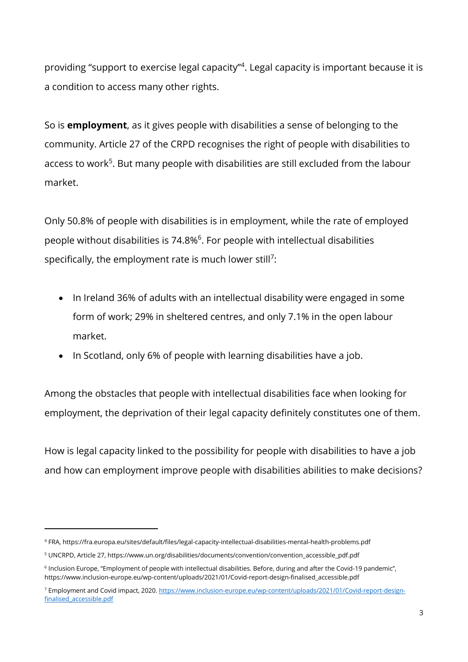providing "support to exercise legal capacity"<sup>4</sup>. Legal capacity is important because it is a condition to access many other rights.

So is **employment**, as it gives people with disabilities a sense of belonging to the community. Article 27 of the CRPD recognises the right of people with disabilities to access to work<sup>5</sup>. But many people with disabilities are still excluded from the labour market.

Only 50.8% of people with disabilities is in employment, while the rate of employed people without disabilities is 74.8%<sup>6</sup>. For people with intellectual disabilities specifically, the employment rate is much lower still<sup>7</sup>:

- In Ireland 36% of adults with an intellectual disability were engaged in some form of work; 29% in sheltered centres, and only 7.1% in the open labour market.
- In Scotland, only 6% of people with learning disabilities have a job.

Among the obstacles that people with intellectual disabilities face when looking for employment, the deprivation of their legal capacity definitely constitutes one of them.

How is legal capacity linked to the possibility for people with disabilities to have a job and how can employment improve people with disabilities abilities to make decisions?

<sup>4</sup> FRA,<https://fra.europa.eu/sites/default/files/legal-capacity-intellectual-disabilities-mental-health-problems.pdf>

<sup>&</sup>lt;sup>5</sup> UNCRPD, Article 27, [https://www.un.org/disabilities/documents/convention/convention\\_accessible\\_pdf.pdf](https://www.un.org/disabilities/documents/convention/convention_accessible_pdf.pdf)

<sup>&</sup>lt;sup>6</sup> Inclusion Europe, "Employment of people with intellectual disabilities. Before, during and after the Covid-19 pandemic", [https://www.inclusion-europe.eu/wp-content/uploads/2021/01/Covid-report-design-finalised\\_accessible.pdf](https://www.inclusion-europe.eu/wp-content/uploads/2021/01/Covid-report-design-finalised_accessible.pdf)

<sup>7</sup> Employment and Covid impact, 2020[. https://www.inclusion-europe.eu/wp-content/uploads/2021/01/Covid-report-design](https://www.inclusion-europe.eu/wp-content/uploads/2021/01/Covid-report-design-finalised_accessible.pdf)[finalised\\_accessible.pdf](https://www.inclusion-europe.eu/wp-content/uploads/2021/01/Covid-report-design-finalised_accessible.pdf)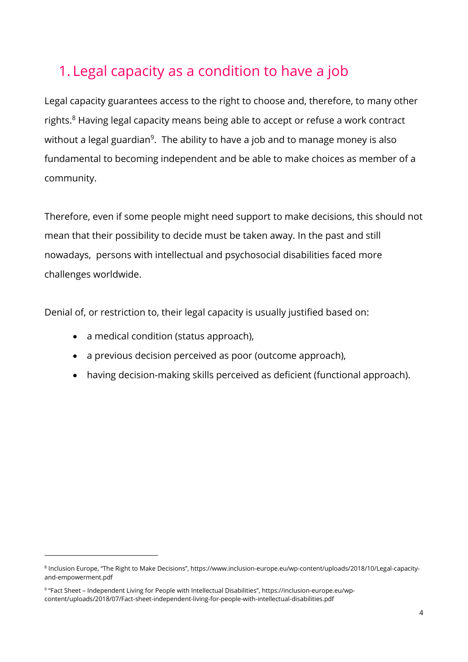## <span id="page-3-0"></span>1. Legal capacity as a condition to have a job

Legal capacity guarantees access to the right to choose and, therefore, to many other rights. <sup>8</sup> Having legal capacity means being able to accept or refuse a work contract without a legal guardian<sup>9</sup>. The ability to have a job and to manage money is also fundamental to becoming independent and be able to make choices as member of a community.

Therefore, even if some people might need support to make decisions, this should not mean that their possibility to decide must be taken away. In the past and still nowadays, persons with intellectual and psychosocial disabilities faced more challenges worldwide.

Denial of, or restriction to, their legal capacity is usually justified based on:

- a medical condition (status approach),
- a previous decision perceived as poor (outcome approach),
- having decision-making skills perceived as deficient (functional approach).

<sup>8</sup> Inclusion Europe, "The Right to Make Decisions", [https://www.inclusion-europe.eu/wp-content/uploads/2018/10/Legal-capacity](https://www.inclusion-europe.eu/wp-content/uploads/2018/10/Legal-capacity-and-empowerment.pdf)[and-empowerment.pdf](https://www.inclusion-europe.eu/wp-content/uploads/2018/10/Legal-capacity-and-empowerment.pdf)

<sup>9</sup> "Fact Sheet – Independent Living for People with Intellectual Disabilities", [https://inclusion-europe.eu/wp](https://inclusion-europe.eu/wp-content/uploads/2018/07/Fact-sheet-independent-living-for-people-with-intellectual-disabilities.pdf)[content/uploads/2018/07/Fact-sheet-independent-living-for-people-with-intellectual-disabilities.pdf](https://inclusion-europe.eu/wp-content/uploads/2018/07/Fact-sheet-independent-living-for-people-with-intellectual-disabilities.pdf)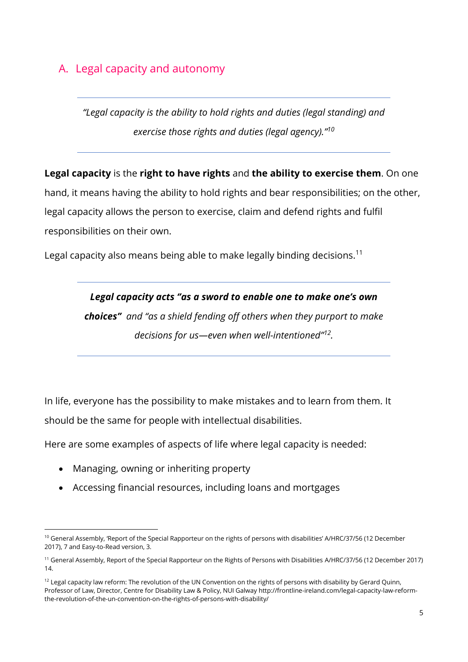### <span id="page-4-0"></span>A. Legal capacity and autonomy

*"Legal capacity is the ability to hold rights and duties (legal standing) and exercise those rights and duties (legal agency)."<sup>10</sup>*

**Legal capacity** is the **right to have rights** and **the ability to exercise them**. On one

hand, it means having the ability to hold rights and bear responsibilities; on the other, legal capacity allows the person to exercise, claim and defend rights and fulfil responsibilities on their own.

Legal capacity also means being able to make legally binding decisions.<sup>11</sup>

*Legal capacity acts ''as a sword to enable one to make one's own choices'' and "as a shield fending off others when they purport to make decisions for us—even when well-intentioned"<sup>12</sup> .* 

In life, everyone has the possibility to make mistakes and to learn from them. It should be the same for people with intellectual disabilities.

Here are some examples of aspects of life where legal capacity is needed:

- Managing, owning or inheriting property
- Accessing financial resources, including loans and mortgages

<sup>&</sup>lt;sup>10</sup> General Assembly, 'Report of the Special Rapporteur on the rights of persons with disabilities' A/HRC/37/56 (12 December 2017), 7 and Easy-to-Read version, 3.

<sup>11</sup> General Assembly, Report of the Special Rapporteur on the Rights of Persons with Disabilities A/HRC/37/56 (12 December 2017) 14.

 $12$  Legal capacity law reform: The revolution of the UN Convention on the rights of persons with disability by Gerard Quinn, Professor of Law, Director, Centre for Disability Law & Policy, NUI Galway [http://frontline-ireland.com/legal-capacity-law-reform](http://frontline-ireland.com/legal-capacity-law-reform-the-revolution-of-the-un-convention-on-the-rights-of-persons-with-disability/)[the-revolution-of-the-un-convention-on-the-rights-of-persons-with-disability/](http://frontline-ireland.com/legal-capacity-law-reform-the-revolution-of-the-un-convention-on-the-rights-of-persons-with-disability/)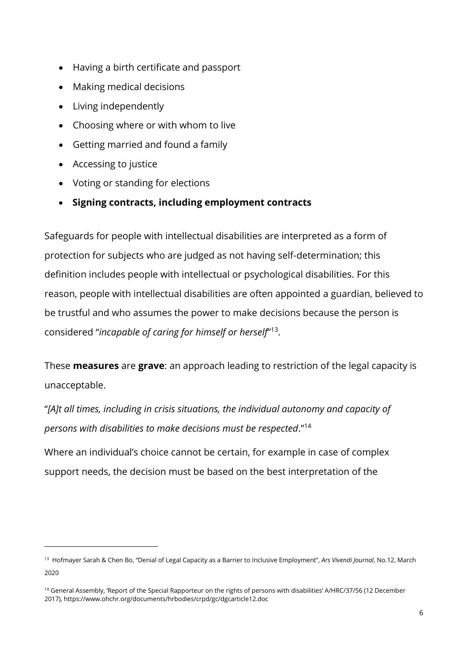- Having a birth certificate and passport
- Making medical decisions
- Living independently
- Choosing where or with whom to live
- Getting married and found a family
- Accessing to justice
- Voting or standing for elections
- **Signing contracts, including employment contracts**

Safeguards for people with intellectual disabilities are interpreted as a form of protection for subjects who are judged as not having self-determination; this definition includes people with intellectual or psychological disabilities. For this reason, people with intellectual disabilities are often appointed a guardian, believed to be trustful and who assumes the power to make decisions because the person is considered "*incapable of caring for himself or herself*" 13 .

These **measures** are **grave**: an approach leading to restriction of the legal capacity is unacceptable.

"*[A]t all times, including in crisis situations, the individual autonomy and capacity of persons with disabilities to make decisions must be respected*."<sup>14</sup>

Where an individual's choice cannot be certain, for example in case of complex support needs, the decision must be based on the best interpretation of the

<sup>13</sup> Hofmayer Sarah & Chen Bo, "Denial of Legal Capacity as a Barrier to Inclusive Employment", *Ars Vivendi Journal*, No.12, March 2020

<sup>&</sup>lt;sup>14</sup> General Assembly, 'Report of the Special Rapporteur on the rights of persons with disabilities' A/HRC/37/56 (12 December 2017), https://www.ohchr.org/documents/hrbodies/crpd/gc/dgcarticle12.doc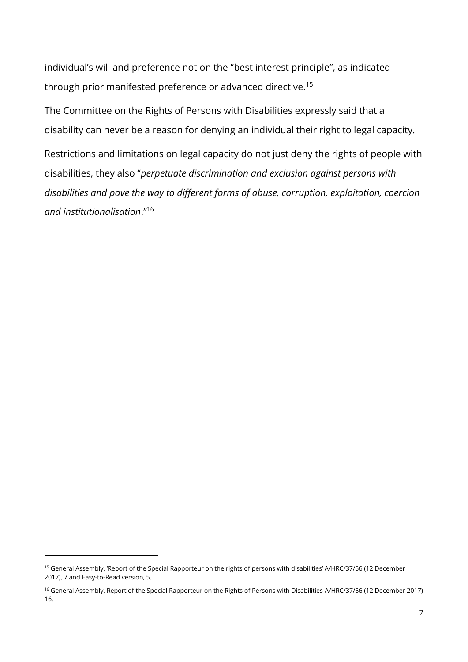individual's will and preference not on the "best interest principle", as indicated through prior manifested preference or advanced directive.<sup>15</sup>

The Committee on the Rights of Persons with Disabilities expressly said that a disability can never be a reason for denying an individual their right to legal capacity.

Restrictions and limitations on legal capacity do not just deny the rights of people with disabilities, they also "*perpetuate discrimination and exclusion against persons with disabilities and pave the way to different forms of abuse, corruption, exploitation, coercion and institutionalisation*."<sup>16</sup>

<sup>15</sup> General Assembly, 'Report of the Special Rapporteur on the rights of persons with disabilities' A/HRC/37/56 (12 December 2017), 7 and Easy-to-Read version, 5.

<sup>16</sup> General Assembly, Report of the Special Rapporteur on the Rights of Persons with Disabilities A/HRC/37/56 (12 December 2017) 16.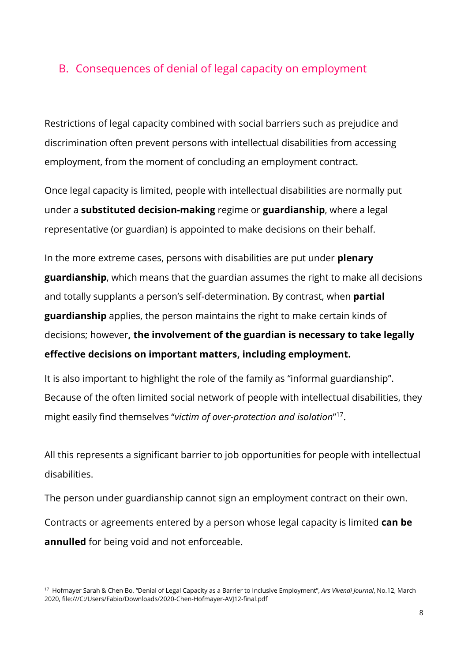### <span id="page-7-0"></span>B. Consequences of denial of legal capacity on employment

Restrictions of legal capacity combined with social barriers such as prejudice and discrimination often prevent persons with intellectual disabilities from accessing employment, from the moment of concluding an employment contract.

Once legal capacity is limited, people with intellectual disabilities are normally put under a **substituted decision-making** regime or **guardianship**, where a legal representative (or guardian) is appointed to make decisions on their behalf.

In the more extreme cases, persons with disabilities are put under **plenary guardianship**, which means that the guardian assumes the right to make all decisions and totally supplants a person's self-determination. By contrast, when **partial guardianship** applies, the person maintains the right to make certain kinds of decisions; however**, the involvement of the guardian is necessary to take legally effective decisions on important matters, including employment.** 

It is also important to highlight the role of the family as "informal guardianship". Because of the often limited social network of people with intellectual disabilities, they might easily find themselves "*victim of over-protection and isolation*" 17 .

All this represents a significant barrier to job opportunities for people with intellectual disabilities.

The person under guardianship cannot sign an employment contract on their own. Contracts or agreements entered by a person whose legal capacity is limited **can be annulled** for being void and not enforceable.

<sup>17</sup> Hofmayer Sarah & Chen Bo, "Denial of Legal Capacity as a Barrier to Inclusive Employment", *Ars Vivendi Journal*, No.12, March 2020,<file:///C:/Users/Fabio/Downloads/2020-Chen-Hofmayer-AVJ12-final.pdf>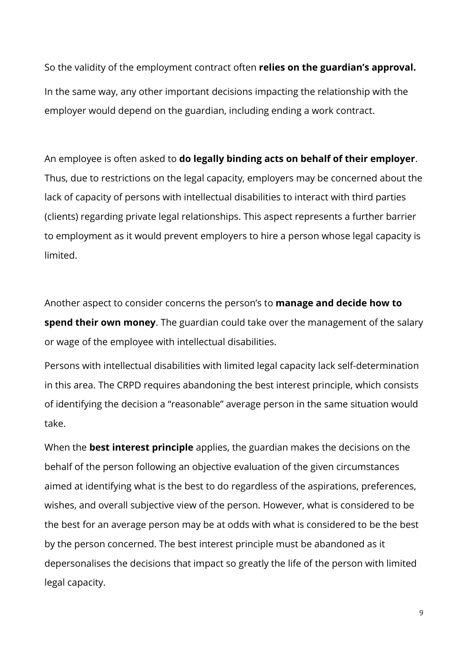So the validity of the employment contract often **relies on the guardian's approval.** In the same way, any other important decisions impacting the relationship with the employer would depend on the guardian, including ending a work contract.

An employee is often asked to **do legally binding acts on behalf of their employer**. Thus, due to restrictions on the legal capacity, employers may be concerned about the lack of capacity of persons with intellectual disabilities to interact with third parties (clients) regarding private legal relationships. This aspect represents a further barrier to employment as it would prevent employers to hire a person whose legal capacity is limited.

Another aspect to consider concerns the person's to **manage and decide how to spend their own money**. The guardian could take over the management of the salary or wage of the employee with intellectual disabilities.

Persons with intellectual disabilities with limited legal capacity lack self-determination in this area. The CRPD requires abandoning the best interest principle, which consists of identifying the decision a "reasonable" average person in the same situation would take.

When the **best interest principle** applies, the guardian makes the decisions on the behalf of the person following an objective evaluation of the given circumstances aimed at identifying what is the best to do regardless of the aspirations, preferences, wishes, and overall subjective view of the person. However, what is considered to be the best for an average person may be at odds with what is considered to be the best by the person concerned. The best interest principle must be abandoned as it depersonalises the decisions that impact so greatly the life of the person with limited legal capacity.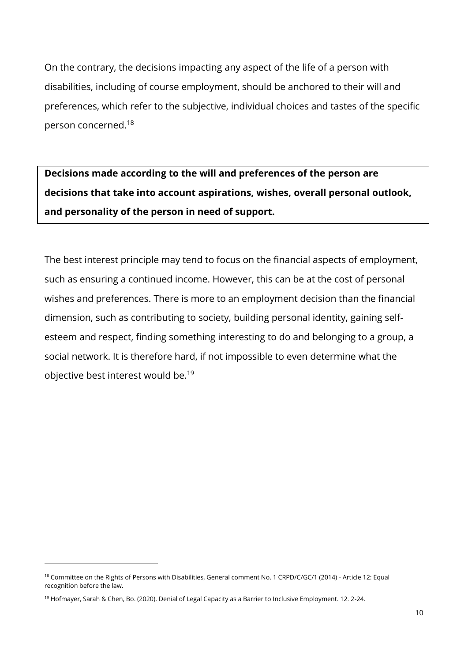On the contrary, the decisions impacting any aspect of the life of a person with disabilities, including of course employment, should be anchored to their will and preferences, which refer to the subjective, individual choices and tastes of the specific person concerned. 18

**Decisions made according to the will and preferences of the person are decisions that take into account aspirations, wishes, overall personal outlook, and personality of the person in need of support.**

The best interest principle may tend to focus on the financial aspects of employment, such as ensuring a continued income. However, this can be at the cost of personal wishes and preferences. There is more to an employment decision than the financial dimension, such as contributing to society, building personal identity, gaining selfesteem and respect, finding something interesting to do and belonging to a group, a social network. It is therefore hard, if not impossible to even determine what the objective best interest would be. 19

<sup>&</sup>lt;sup>18</sup> Committee on the Rights of Persons with Disabilities, General comment No. 1 CRPD/C/GC/1 (2014) - Article 12: Equal recognition before the law.

<sup>19</sup> Hofmayer, Sarah & Chen, Bo. (2020). Denial of Legal Capacity as a Barrier to Inclusive Employment. 12. 2-24.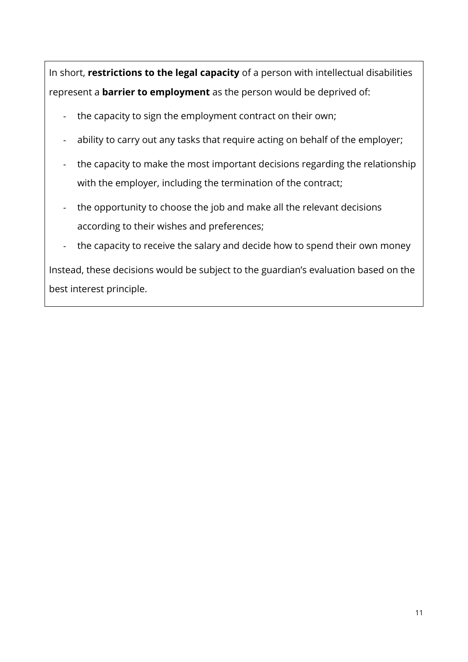In short, **restrictions to the legal capacity** of a person with intellectual disabilities represent a **barrier to employment** as the person would be deprived of:

- the capacity to sign the employment contract on their own;
- ability to carry out any tasks that require acting on behalf of the employer;
- the capacity to make the most important decisions regarding the relationship with the employer, including the termination of the contract;
- the opportunity to choose the job and make all the relevant decisions according to their wishes and preferences;
- the capacity to receive the salary and decide how to spend their own money

Instead, these decisions would be subject to the guardian's evaluation based on the best interest principle.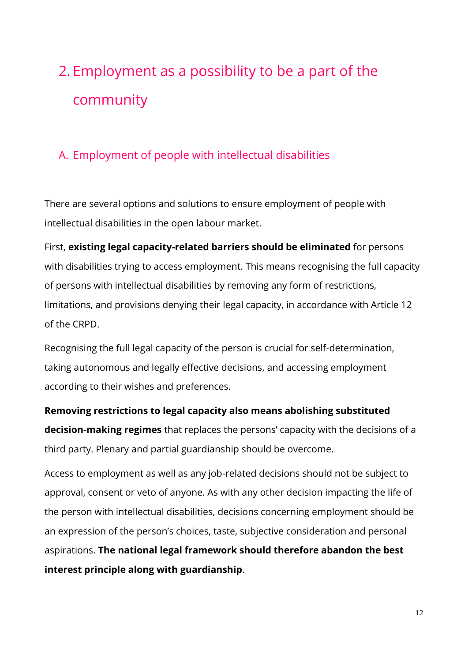# <span id="page-11-0"></span>2. Employment as a possibility to be a part of the community

### <span id="page-11-1"></span>A. Employment of people with intellectual disabilities

There are several options and solutions to ensure employment of people with intellectual disabilities in the open labour market.

First, **existing legal capacity-related barriers should be eliminated** for persons with disabilities trying to access employment. This means recognising the full capacity of persons with intellectual disabilities by removing any form of restrictions, limitations, and provisions denying their legal capacity, in accordance with Article 12 of the CRPD.

Recognising the full legal capacity of the person is crucial for self-determination, taking autonomous and legally effective decisions, and accessing employment according to their wishes and preferences.

**Removing restrictions to legal capacity also means abolishing substituted decision-making regimes** that replaces the persons' capacity with the decisions of a third party. Plenary and partial guardianship should be overcome.

Access to employment as well as any job-related decisions should not be subject to approval, consent or veto of anyone. As with any other decision impacting the life of the person with intellectual disabilities, decisions concerning employment should be an expression of the person's choices, taste, subjective consideration and personal aspirations. **The national legal framework should therefore abandon the best interest principle along with guardianship**.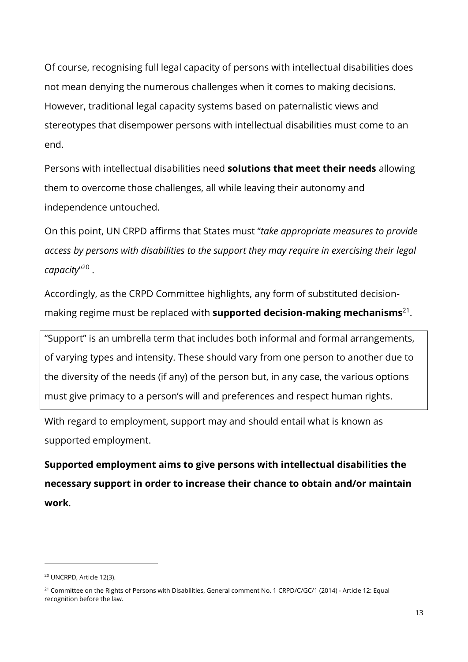Of course, recognising full legal capacity of persons with intellectual disabilities does not mean denying the numerous challenges when it comes to making decisions. However, traditional legal capacity systems based on paternalistic views and stereotypes that disempower persons with intellectual disabilities must come to an end.

Persons with intellectual disabilities need **solutions that meet their needs** allowing them to overcome those challenges, all while leaving their autonomy and independence untouched.

On this point, UN CRPD affirms that States must "*take appropriate measures to provide access by persons with disabilities to the support they may require in exercising their legal capacity*" 20 .

Accordingly, as the CRPD Committee highlights, any form of substituted decisionmaking regime must be replaced with **supported decision-making mechanisms**<sup>21</sup>.

"Support" is an umbrella term that includes both informal and formal arrangements, of varying types and intensity. These should vary from one person to another due to the diversity of the needs (if any) of the person but, in any case, the various options must give primacy to a person's will and preferences and respect human rights.

With regard to employment, support may and should entail what is known as supported employment.

**Supported employment aims to give persons with intellectual disabilities the necessary support in order to increase their chance to obtain and/or maintain work**.

<sup>20</sup> UNCRPD, Article 12(3).

<sup>&</sup>lt;sup>21</sup> Committee on the Rights of Persons with Disabilities, General comment No. 1 CRPD/C/GC/1 (2014) - Article 12: Equal recognition before the law.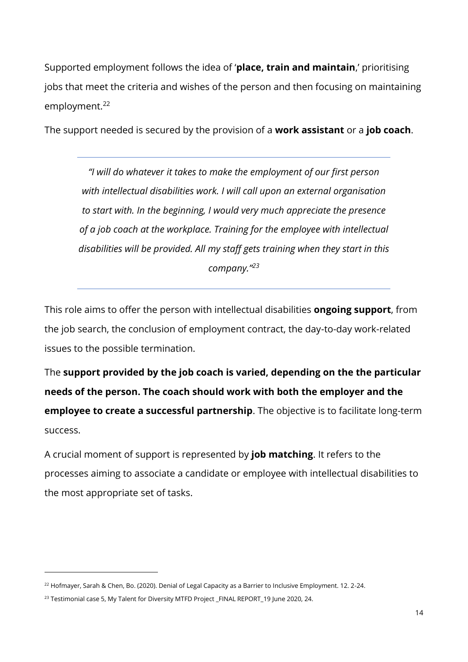Supported employment follows the idea of '**place, train and maintain**,' prioritising jobs that meet the criteria and wishes of the person and then focusing on maintaining employment.<sup>22</sup>

The support needed is secured by the provision of a **work assistant** or a **job coach**.

*"I will do whatever it takes to make the employment of our first person with intellectual disabilities work. I will call upon an external organisation to start with. In the beginning, I would very much appreciate the presence of a job coach at the workplace. Training for the employee with intellectual disabilities will be provided. All my staff gets training when they start in this company."<sup>23</sup>*

This role aims to offer the person with intellectual disabilities **ongoing support**, from the job search, the conclusion of employment contract, the day-to-day work-related issues to the possible termination.

The **support provided by the job coach is varied, depending on the the particular needs of the person. The coach should work with both the employer and the employee to create a successful partnership**. The objective is to facilitate long-term success.

A crucial moment of support is represented by **job matching**. It refers to the processes aiming to associate a candidate or employee with intellectual disabilities to the most appropriate set of tasks.

<sup>&</sup>lt;sup>22</sup> Hofmayer, Sarah & Chen, Bo. (2020). Denial of Legal Capacity as a Barrier to Inclusive Employment. 12. 2-24.

<sup>&</sup>lt;sup>23</sup> Testimonial case 5, My Talent for Diversity MTFD Project \_FINAL REPORT\_19 June 2020, 24.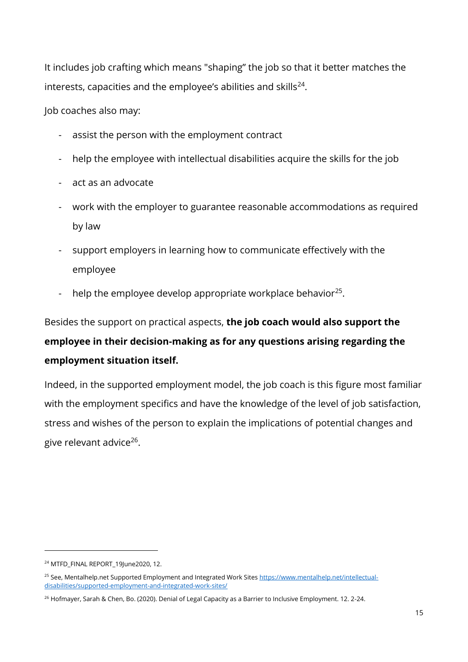It includes job crafting which means "shaping" the job so that it better matches the interests, capacities and the employee's abilities and skills $^{24}$ .

Job coaches also may:

- assist the person with the employment contract
- help the employee with intellectual disabilities acquire the skills for the job
- act as an advocate
- work with the employer to guarantee reasonable accommodations as required by law
- support employers in learning how to communicate effectively with the employee
- help the employee develop appropriate workplace behavior<sup>25</sup>.

Besides the support on practical aspects, **the job coach would also support the employee in their decision-making as for any questions arising regarding the employment situation itself.**

Indeed, in the supported employment model, the job coach is this figure most familiar with the employment specifics and have the knowledge of the level of job satisfaction, stress and wishes of the person to explain the implications of potential changes and give relevant advice<sup>26</sup>.

<sup>&</sup>lt;sup>24</sup> MTFD\_FINAL REPORT\_19June2020, 12.

<sup>&</sup>lt;sup>25</sup> See, Mentalhelp.net Supported Employment and Integrated Work Site[s https://www.mentalhelp.net/intellectual](https://www.mentalhelp.net/intellectual-disabilities/supported-employment-and-integrated-work-sites/)[disabilities/supported-employment-and-integrated-work-sites/](https://www.mentalhelp.net/intellectual-disabilities/supported-employment-and-integrated-work-sites/)

<sup>&</sup>lt;sup>26</sup> Hofmayer, Sarah & Chen, Bo. (2020). Denial of Legal Capacity as a Barrier to Inclusive Employment. 12. 2-24.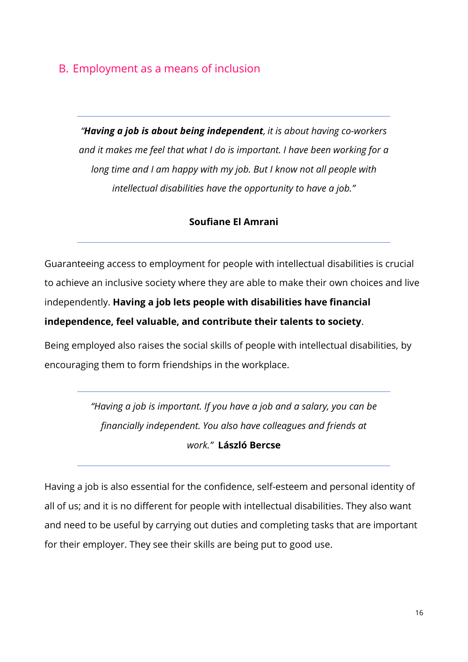### <span id="page-15-0"></span>B. Employment as a means of inclusion

*"Having a job is about being independent, it is about having co-workers and it makes me feel that what I do is important. I have been working for a long time and I am happy with my job. But I know not all people with intellectual disabilities have the opportunity to have a job."*

#### **Soufiane El Amrani**

Guaranteeing access to employment for people with intellectual disabilities is crucial to achieve an inclusive society where they are able to make their own choices and live independently. **Having a job lets people with disabilities have financial independence, feel valuable, and contribute their talents to society**.

Being employed also raises the social skills of people with intellectual disabilities, by encouraging them to form friendships in the workplace.

> *"Having a job is important. If you have a job and a salary, you can be financially independent. You also have colleagues and friends at work."* **László Bercse**

Having a job is also essential for the confidence, self-esteem and personal identity of all of us; and it is no different for people with intellectual disabilities. They also want and need to be useful by carrying out duties and completing tasks that are important for their employer. They see their skills are being put to good use.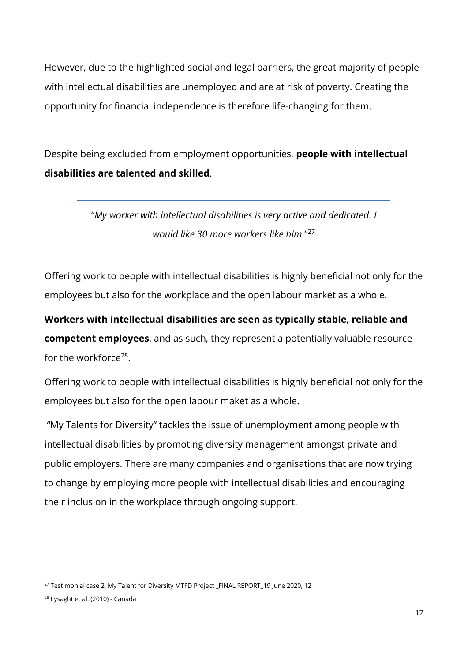However, due to the highlighted social and legal barriers, the great majority of people with intellectual disabilities are unemployed and are at risk of poverty. Creating the opportunity for financial independence is therefore life-changing for them.

Despite being excluded from employment opportunities, **people with intellectual disabilities are talented and skilled**.

> "*My worker with intellectual disabilities is very active and dedicated. I would like 30 more workers like him.*" 27

Offering work to people with intellectual disabilities is highly beneficial not only for the employees but also for the workplace and the open labour market as a whole.

**Workers with intellectual disabilities are seen as typically stable, reliable and competent employees**, and as such, they represent a potentially valuable resource for the workforce<sup>28</sup>.

Offering work to people with intellectual disabilities is highly beneficial not only for the employees but also for the open labour maket as a whole.

"My Talents for Diversity" tackles the issue of unemployment among people with intellectual disabilities by promoting diversity management amongst private and public employers. There are many companies and organisations that are now trying to change by employing more people with intellectual disabilities and encouraging their inclusion in the workplace through ongoing support.

<sup>&</sup>lt;sup>27</sup> Testimonial case 2, My Talent for Diversity MTFD Project \_FINAL REPORT\_19 June 2020, 12

<sup>28</sup> Lysaght et al. (2010) - Canada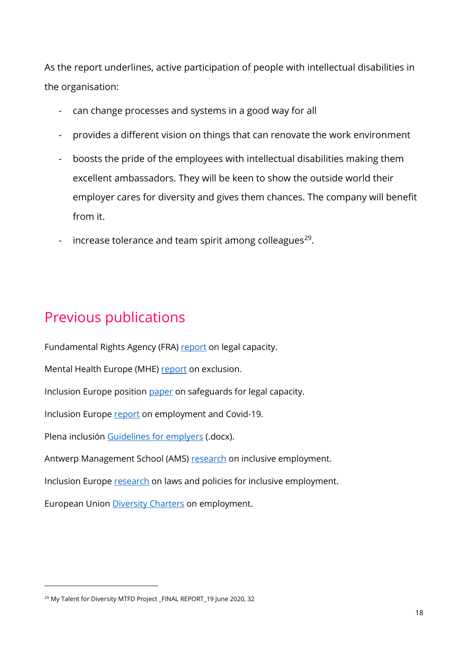As the report underlines, active participation of people with intellectual disabilities in the organisation:

- can change processes and systems in a good way for all
- provides a different vision on things that can renovate the work environment
- boosts the pride of the employees with intellectual disabilities making them excellent ambassadors. They will be keen to show the outside world their employer cares for diversity and gives them chances. The company will benefit from it.
- increase tolerance and team spirit among colleagues<sup>29</sup>.

## <span id="page-17-0"></span>Previous publications

Fundamental Rights Agency (FRA) [report](https://fra.europa.eu/en/publication/2013/legal-capacity-persons-intellectual-disabilities-and-persons-mental-health-problems) on legal capacity.

Mental Health Europe (MHE) [report](https://fra.europa.eu/en/publication/2013/legal-capacity-persons-intellectual-disabilities-and-persons-mental-health-problems) on exclusion.

Inclusion Europe position [paper](https://inclusion-europe.eu/wp-content/uploads/2018/12/SafeguardsLegalCapacity_PositionPaper2018.pdf) on safeguards for legal capacity.

Inclusion Europe [report](https://www.inclusion-europe.eu/wp-content/uploads/2021/01/Covid-report-design-finalised_accessible.pdf) on employment and Covid-19.

Plena inclusión [Guidelines for emplyers](http://www.inclusion-europe.eu/wp-content/uploads/2020/05/00000_Guidelines-employers.docx) (.docx).

Antwerp Management School (AMS) [research](https://www.inclusion-europe.eu/wp-content/uploads/2015/03/D-3.1-The-European-research-and-the-lessons-learnt-as-uploaded-in-the-participant-portal-1.pdf) on inclusive employment.

Inclusion Europe [research](https://www.inclusion-europe.eu/wp-content/uploads/2015/03/Better-future-scenarios-to-improve-legislation.pdf) on laws and policies for inclusive employment.

European Union [Diversity Charters](https://ec.europa.eu/info/policies/justice-and-fundamental-rights/combatting-discrimination/tackling-discrimination/diversity-management/diversity-charters-eu-country_en) on employment.

<sup>&</sup>lt;sup>29</sup> My Talent for Diversity MTFD Project FINAL REPORT 19 June 2020, 32